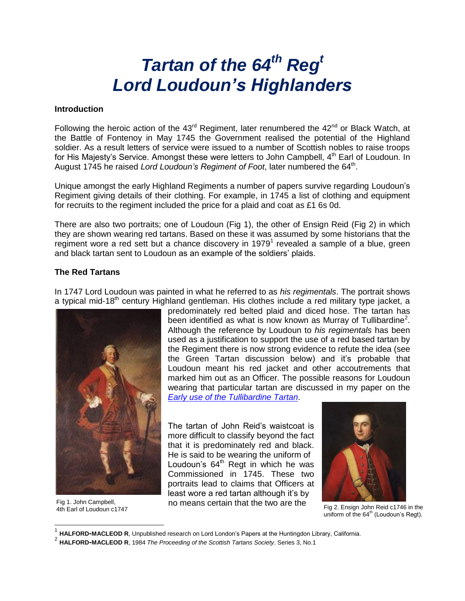# *Tartan of the 64th Reg<sup>t</sup> Lord Loudoun's Highlanders*

#### **Introduction**

Following the heroic action of the  $43^{\text{rd}}$  Regiment, later renumbered the  $42^{\text{nd}}$  or Black Watch, at the Battle of Fontenoy in May 1745 the Government realised the potential of the Highland soldier. As a result letters of service were issued to a number of Scottish nobles to raise troops for His Majesty's Service. Amongst these were letters to John Campbell, 4<sup>th</sup> Earl of Loudoun. In August 1745 he raised Lord Loudoun's Regiment of Foot, later numbered the 64<sup>th</sup>.

Unique amongst the early Highland Regiments a number of papers survive regarding Loudoun's Regiment giving details of their clothing. For example, in 1745 a list of clothing and equipment for recruits to the regiment included the price for a plaid and coat as £1 6s 0d.

There are also two portraits; one of Loudoun (Fig 1), the other of Ensign Reid (Fig 2) in which they are shown wearing red tartans. Based on these it was assumed by some historians that the regiment wore a red sett but a chance discovery in 1979<sup>1</sup> revealed a sample of a blue, green and black tartan sent to Loudoun as an example of the soldiers' plaids.

## **The Red Tartans**

In 1747 Lord Loudoun was painted in what he referred to as *his regimentals*. The portrait shows a typical mid-18<sup>th</sup> century Highland gentleman. His clothes include a red military type jacket, a



Fig 1. John Campbell, 4th Earl of Loudoun c1747

 $\overline{\phantom{a}}$ 

predominately red belted plaid and diced hose. The tartan has been identified as what is now known as Murray of Tullibardine<sup>2</sup>. Although the reference by Loudoun to *his regimentals* has been used as a justification to support the use of a red based tartan by the Regiment there is now strong evidence to refute the idea (see the Green Tartan discussion below) and it's probable that Loudoun meant his red jacket and other accoutrements that marked him out as an Officer. The possible reasons for Loudoun wearing that particular tartan are discussed in my paper on the *[Early use of the Tullibardine Tartan](http://www.scottishtartans.co.uk/Early%20use%20of%20the%20Tullibardine%20tartan.pdf)*.

The tartan of John Reid's waistcoat is more difficult to classify beyond the fact that it is predominately red and black. He is said to be wearing the uniform of Loudoun's  $64<sup>th</sup>$  Regt in which he was Commissioned in 1745. These two portraits lead to claims that Officers at least wore a red tartan although it's by no means certain that the two are the



Fig 2. Ensign John Reid c1746 in the uniform of the  $64<sup>th</sup>$  (Loudoun's Regt).

<sup>1</sup> **HALFORD-MACLEOD R**, Unpublished research on Lord London's Papers at the Huntingdon Library, California.

<sup>2</sup> **HALFORD-MACLEOD R**, 1984 *The Proceeding of the Scottish Tartans Society*. Series 3, No.1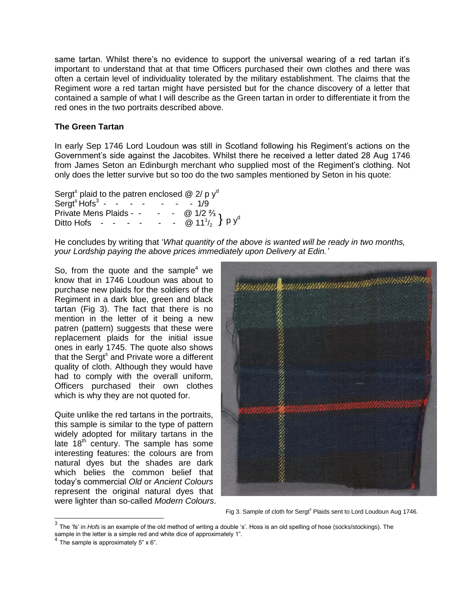same tartan. Whilst there's no evidence to support the universal wearing of a red tartan it's important to understand that at that time Officers purchased their own clothes and there was often a certain level of individuality tolerated by the military establishment. The claims that the Regiment wore a red tartan might have persisted but for the chance discovery of a letter that contained a sample of what I will describe as the Green tartan in order to differentiate it from the red ones in the two portraits described above.

### **The Green Tartan**

In early Sep 1746 Lord Loudoun was still in Scotland following his Regiment's actions on the Government's side against the Jacobites. Whilst there he received a letter dated 28 Aug 1746 from James Seton an Edinburgh merchant who supplied most of the Regiment's clothing. Not only does the letter survive but so too do the two samples mentioned by Seton in his quote:

| Sergt <sup>s</sup> plaid to the patren enclosed $@2/pyd$ |  |  |  |                                                                                   |
|----------------------------------------------------------|--|--|--|-----------------------------------------------------------------------------------|
| Sergt <sup>s</sup> Hofs <sup>3</sup> - - - - - - - - 1/9 |  |  |  |                                                                                   |
| Private Mens Plaids - -                                  |  |  |  | - - @ $1/2\frac{2}{3}$ p y <sup>d</sup><br>- - @ $11\frac{1}{2}$ p y <sup>d</sup> |
| Ditto Hofs $   -$                                        |  |  |  |                                                                                   |

He concludes by writing that '*What quantity of the above is wanted will be ready in two months, your Lordship paying the above prices immediately upon Delivery at Edin.'*

So, from the quote and the sample<sup>4</sup> we know that in 1746 Loudoun was about to purchase new plaids for the soldiers of the Regiment in a dark blue, green and black tartan (Fig 3). The fact that there is no mention in the letter of it being a new patren (pattern) suggests that these were replacement plaids for the initial issue ones in early 1745. The quote also shows that the Sergt<sup>s</sup> and Private wore a different quality of cloth. Although they would have had to comply with the overall uniform, Officers purchased their own clothes which is why they are not quoted for.

Quite unlike the red tartans in the portraits, this sample is similar to the type of pattern widely adopted for military tartans in the late  $18<sup>th</sup>$  century. The sample has some interesting features: the colours are from natural dyes but the shades are dark which belies the common belief that today's commercial *Old* or *Ancient Colours*  represent the original natural dyes that were lighter than so-called *Modern Colours*.



Fig 3. Sample of cloth for Sergt<sup>s</sup> Plaids sent to Lord Loudoun Aug 1746.

 3 The 'fs' in *Hofs* is an example of the old method of writing a double 's'. Hoss is an old spelling of hose (socks/stockings). The sample in the letter is a simple red and white dice of approximately 1".<br>4 The sample is approximately  $F \sim \mathcal{C}^n$ .

The sample is approximately 5" x 6".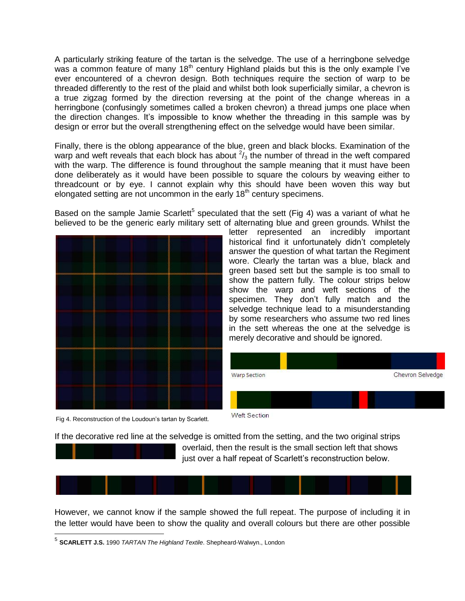A particularly striking feature of the tartan is the selvedge. The use of a herringbone selvedge was a common feature of many  $18<sup>th</sup>$  century Highland plaids but this is the only example I've ever encountered of a chevron design. Both techniques require the section of warp to be threaded differently to the rest of the plaid and whilst both look superficially similar, a chevron is a true zigzag formed by the direction reversing at the point of the change whereas in a herringbone (confusingly sometimes called a broken chevron) a thread jumps one place when the direction changes. It's impossible to know whether the threading in this sample was by design or error but the overall strengthening effect on the selvedge would have been similar.

Finally, there is the oblong appearance of the blue, green and black blocks. Examination of the warp and weft reveals that each block has about  $2/3$  the number of thread in the weft compared with the warp. The difference is found throughout the sample meaning that it must have been done deliberately as it would have been possible to square the colours by weaving either to threadcount or by eye. I cannot explain why this should have been woven this way but elongated setting are not uncommon in the early  $18<sup>th</sup>$  century specimens.

Based on the sample Jamie Scarlett<sup>5</sup> speculated that the sett (Fig 4) was a variant of what he believed to be the generic early military sett of alternating blue and green grounds. Whilst the

Fig 4. Reconstruction of the Loudoun's tartan by Scarlett.

letter represented an incredibly important historical find it unfortunately didn't completely answer the question of what tartan the Regiment wore. Clearly the tartan was a blue, black and green based sett but the sample is too small to show the pattern fully. The colour strips below show the warp and weft sections of the specimen. They don't fully match and the selvedge technique lead to a misunderstanding by some researchers who assume two red lines in the sett whereas the one at the selvedge is merely decorative and should be ignored.

| <b>Warp Section</b> | Chevron Selvedge |
|---------------------|------------------|
|                     |                  |
| Weft Section        |                  |

If the decorative red line at the selvedge is omitted from the setting, and the two original strips overlaid, then the result is the small section left that shows just over a half repeat of Scarlett's reconstruction below.



However, we cannot know if the sample showed the full repeat. The purpose of including it in the letter would have been to show the quality and overall colours but there are other possible

<sup>5</sup> **SCARLETT J.S.** 1990 *TARTAN The Highland Textile*. Shepheard-Walwyn., London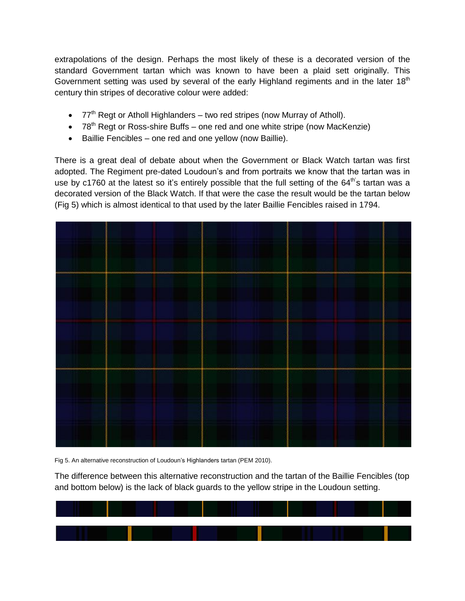extrapolations of the design. Perhaps the most likely of these is a decorated version of the standard Government tartan which was known to have been a plaid sett originally. This Government setting was used by several of the early Highland regiments and in the later  $18<sup>th</sup>$ century thin stripes of decorative colour were added:

- 77<sup>th</sup> Regt or Atholl Highlanders two red stripes (now Murray of Atholl).
- $\bullet$  78<sup>th</sup> Regt or Ross-shire Buffs one red and one white stripe (now MacKenzie)
- Baillie Fencibles one red and one yellow (now Baillie).

There is a great deal of debate about when the Government or Black Watch tartan was first adopted. The Regiment pre-dated Loudoun's and from portraits we know that the tartan was in use by c1760 at the latest so it's entirely possible that the full setting of the 64<sup>th'</sup>s tartan was a decorated version of the Black Watch. If that were the case the result would be the tartan below (Fig 5) which is almost identical to that used by the later Baillie Fencibles raised in 1794.



Fig 5. An alternative reconstruction of Loudoun's Highlanders tartan (PEM 2010).

The difference between this alternative reconstruction and the tartan of the Baillie Fencibles (top and bottom below) is the lack of black guards to the yellow stripe in the Loudoun setting.